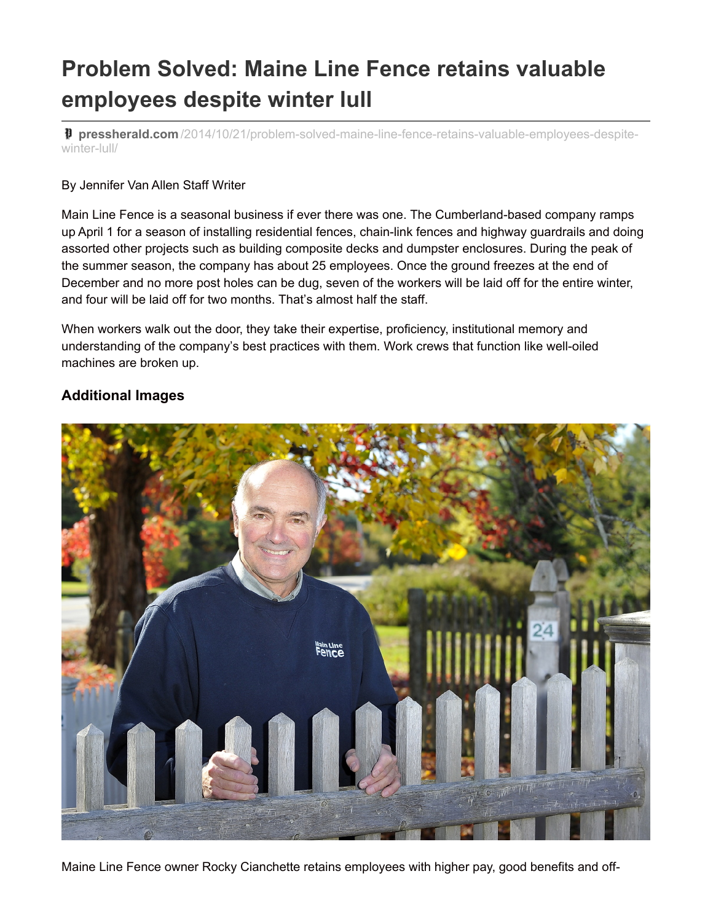## **Problem Solved: Maine Line Fence retains valuable employees despite winter lull**

**pressherald.com** [/2014/10/21/problem-solved-maine-line-fence-retains-valuable-employees-despite](http://www.pressherald.com/2014/10/21/problem-solved-maine-line-fence-retains-valuable-employees-despite-winter-lull/)winter-lull/

## By Jennifer Van Allen Staff Writer

Main Line Fence is a seasonal business if ever there was one. The Cumberland-based company ramps up April 1 for a season of installing residential fences, chain-link fences and highway guardrails and doing assorted other projects such as building composite decks and dumpster enclosures. During the peak of the summer season, the company has about 25 employees. Once the ground freezes at the end of December and no more post holes can be dug, seven of the workers will be laid off for the entire winter, and four will be laid off for two months. That's almost half the staff.

When workers walk out the door, they take their expertise, proficiency, institutional memory and understanding of the company's best practices with them. Work crews that function like well-oiled machines are broken up.

## **Additional Images**



Maine Line Fence owner Rocky Cianchette retains employees with higher pay, good benefits and off-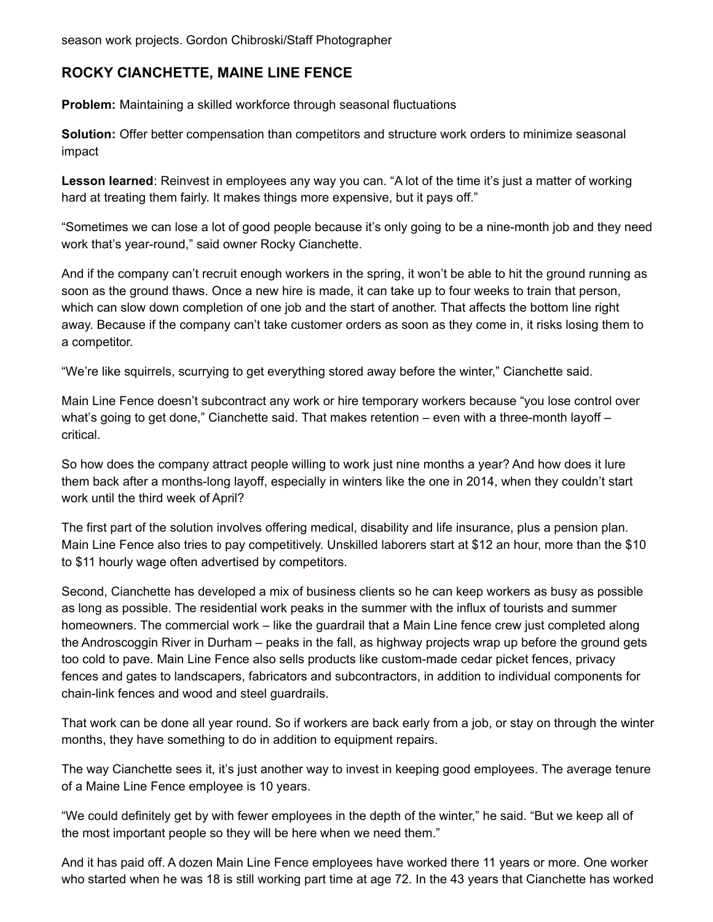season work projects. Gordon Chibroski/Staff Photographer

## **ROCKY CIANCHETTE, MAINE LINE FENCE**

**Problem:** Maintaining a skilled workforce through seasonal fluctuations

**Solution:** Offer better compensation than competitors and structure work orders to minimize seasonal impact

**Lesson learned**: Reinvest in employees any way you can. "A lot of the time it's just a matter of working hard at treating them fairly. It makes things more expensive, but it pays off."

"Sometimes we can lose a lot of good people because it's only going to be a nine-month job and they need work that's year-round," said owner Rocky Cianchette.

And if the company can't recruit enough workers in the spring, it won't be able to hit the ground running as soon as the ground thaws. Once a new hire is made, it can take up to four weeks to train that person, which can slow down completion of one job and the start of another. That affects the bottom line right away. Because if the company can't take customer orders as soon as they come in, it risks losing them to a competitor.

"We're like squirrels, scurrying to get everything stored away before the winter," Cianchette said.

Main Line Fence doesn't subcontract any work or hire temporary workers because "you lose control over what's going to get done," Cianchette said. That makes retention – even with a three-month layoff – critical.

So how does the company attract people willing to work just nine months a year? And how does it lure them back after a months-long layoff, especially in winters like the one in 2014, when they couldn't start work until the third week of April?

The first part of the solution involves offering medical, disability and life insurance, plus a pension plan. Main Line Fence also tries to pay competitively. Unskilled laborers start at \$12 an hour, more than the \$10 to \$11 hourly wage often advertised by competitors.

Second, Cianchette has developed a mix of business clients so he can keep workers as busy as possible as long as possible. The residential work peaks in the summer with the influx of tourists and summer homeowners. The commercial work – like the guardrail that a Main Line fence crew just completed along the Androscoggin River in Durham – peaks in the fall, as highway projects wrap up before the ground gets too cold to pave. Main Line Fence also sells products like custom-made cedar picket fences, privacy fences and gates to landscapers, fabricators and subcontractors, in addition to individual components for chain-link fences and wood and steel guardrails.

That work can be done all year round. So if workers are back early from a job, or stay on through the winter months, they have something to do in addition to equipment repairs.

The way Cianchette sees it, it's just another way to invest in keeping good employees. The average tenure of a Maine Line Fence employee is 10 years.

"We could definitely get by with fewer employees in the depth of the winter," he said. "But we keep all of the most important people so they will be here when we need them."

And it has paid off. A dozen Main Line Fence employees have worked there 11 years or more. One worker who started when he was 18 is still working part time at age 72. In the 43 years that Cianchette has worked